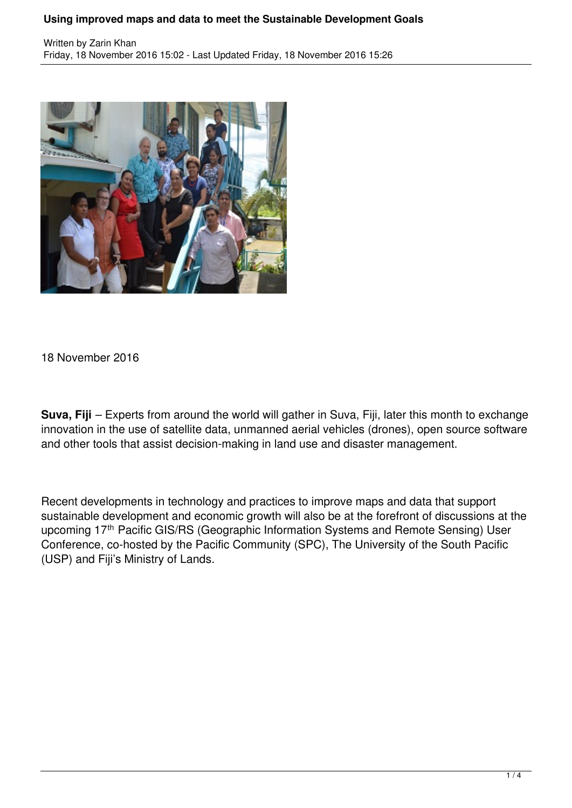## **Using improved maps and data to meet the Sustainable Development Goals**



18 November 2016

**Suva, Fiji** – Experts from around the world will gather in Suva, Fiji, later this month to exchange innovation in the use of satellite data, unmanned aerial vehicles (drones), open source software and other tools that assist decision-making in land use and disaster management.

Recent developments in technology and practices to improve maps and data that support sustainable development and economic growth will also be at the forefront of discussions at the upcoming 17<sup>th</sup> Pacific GIS/RS (Geographic Information Systems and Remote Sensing) User Conference, co-hosted by the Pacific Community (SPC), The University of the South Pacific (USP) and Fiji's Ministry of Lands.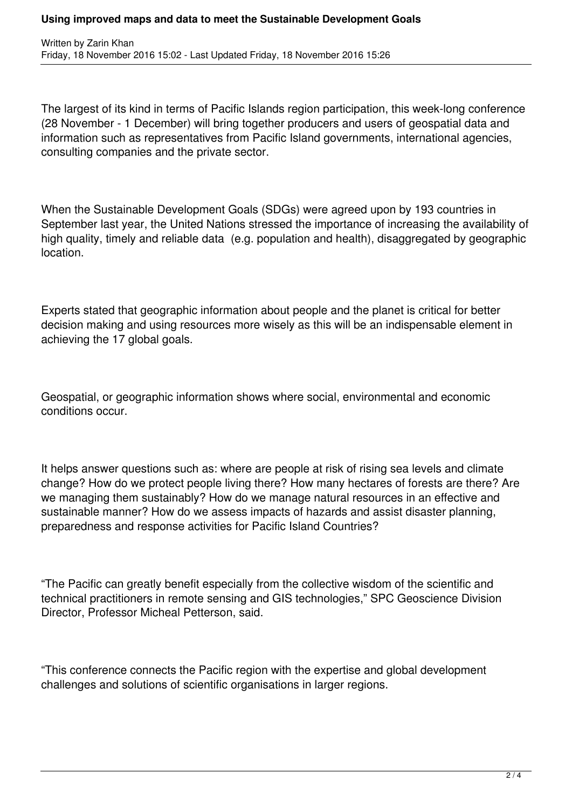## **Using improved maps and data to meet the Sustainable Development Goals**

The largest of its kind in terms of Pacific Islands region participation, this week-long conference (28 November - 1 December) will bring together producers and users of geospatial data and information such as representatives from Pacific Island governments, international agencies, consulting companies and the private sector.

When the Sustainable Development Goals (SDGs) were agreed upon by 193 countries in September last year, the United Nations stressed the importance of increasing the availability of high quality, timely and reliable data (e.g. population and health), disaggregated by geographic location.

Experts stated that geographic information about people and the planet is critical for better decision making and using resources more wisely as this will be an indispensable element in achieving the 17 global goals.

Geospatial, or geographic information shows where social, environmental and economic conditions occur.

It helps answer questions such as: where are people at risk of rising sea levels and climate change? How do we protect people living there? How many hectares of forests are there? Are we managing them sustainably? How do we manage natural resources in an effective and sustainable manner? How do we assess impacts of hazards and assist disaster planning, preparedness and response activities for Pacific Island Countries?

"The Pacific can greatly benefit especially from the collective wisdom of the scientific and technical practitioners in remote sensing and GIS technologies," SPC Geoscience Division Director, Professor Micheal Petterson, said.

"This conference connects the Pacific region with the expertise and global development challenges and solutions of scientific organisations in larger regions.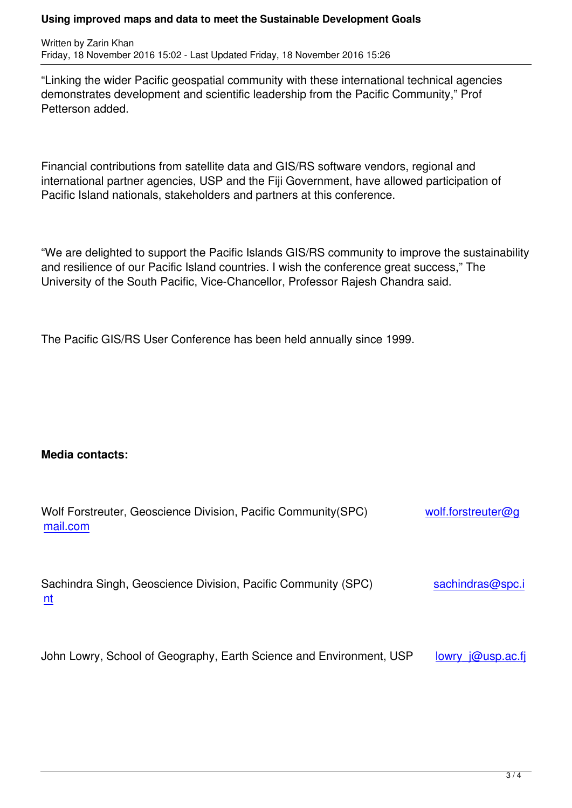"Linking the wider Pacific geospatial community with these international technical agencies demonstrates development and scientific leadership from the Pacific Community," Prof Petterson added.

Financial contributions from satellite data and GIS/RS software vendors, regional and international partner agencies, USP and the Fiji Government, have allowed participation of Pacific Island nationals, stakeholders and partners at this conference.

"We are delighted to support the Pacific Islands GIS/RS community to improve the sustainability and resilience of our Pacific Island countries. I wish the conference great success," The University of the South Pacific, Vice-Chancellor, Professor Rajesh Chandra said.

The Pacific GIS/RS User Conference has been held annually since 1999.

## **Media contacts:**

| Wolf Forstreuter, Geoscience Division, Pacific Community (SPC)<br>mail.com | wolf.forstreuter@g |
|----------------------------------------------------------------------------|--------------------|
| Sachindra Singh, Geoscience Division, Pacific Community (SPC)<br>nt        | sachindras@spc.i   |

[Jo](mailto:sachindras@spc.int)hn Lowry, School of Geography, Earth Science and Environment, USP lowry  $j@usp.ac.fi$